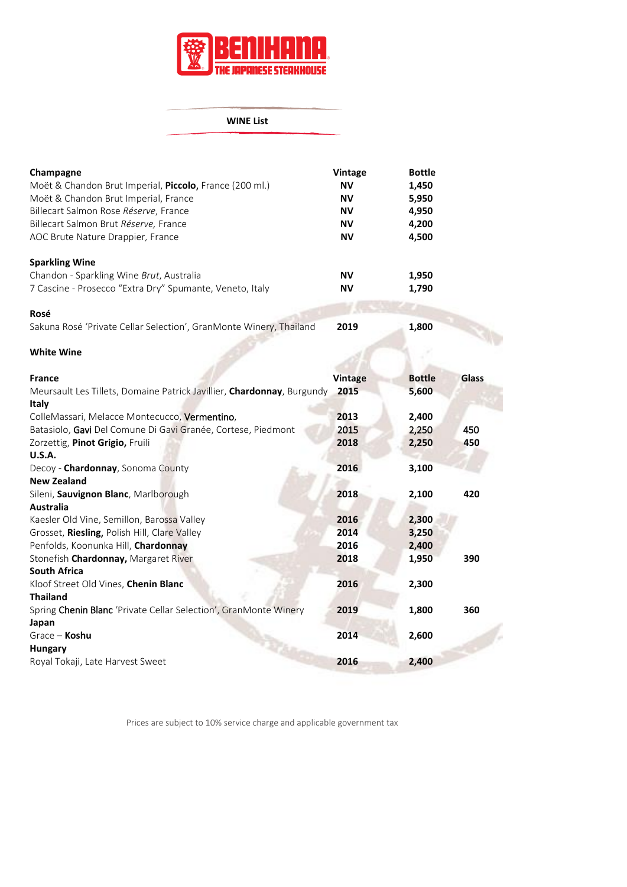

## **WINE List**

| Champagne                                                          | <b>Vintage</b> | <b>Bottle</b> |  |
|--------------------------------------------------------------------|----------------|---------------|--|
| Moët & Chandon Brut Imperial, <b>Piccolo</b> , France (200 ml.)    | ΝV             | 1,450         |  |
| Moët & Chandon Brut Imperial, France                               | <b>NV</b>      | 5,950         |  |
| Billecart Salmon Rose Réserve, France                              | ΝV             | 4,950         |  |
| Billecart Salmon Brut Réserve, France                              | <b>NV</b>      | 4,200         |  |
| AOC Brute Nature Drappier, France                                  | ΝV             | 4,500         |  |
| <b>Sparkling Wine</b>                                              |                |               |  |
| Chandon - Sparkling Wine Brut, Australia                           | ΝV             | 1,950         |  |
| 7 Cascine - Prosecco "Extra Dry" Spumante, Veneto, Italy           | ΝV             | 1,790         |  |
| Rosé                                                               |                |               |  |
| Sakuna Rosé 'Private Cellar Selection', GranMonte Winery, Thailand | 2019           | 1,800         |  |
|                                                                    |                |               |  |

## **White Wine**

| <b>France</b>                                                          | <b>Vintage</b> | <b>Bottle</b> | Glass |
|------------------------------------------------------------------------|----------------|---------------|-------|
| Meursault Les Tillets, Domaine Patrick Javillier, Chardonnay, Burgundy | 2015           | 5,600         |       |
| <b>Italy</b>                                                           |                |               |       |
| ColleMassari, Melacce Montecucco, Vermentino,                          | 2013           | 2,400         |       |
| Batasiolo, Gavi Del Comune Di Gavi Granée, Cortese, Piedmont           | 2015           | 2,250         | 450   |
| Zorzettig, Pinot Grigio, Fruili                                        | 2018           | 2,250         | 450   |
| <b>U.S.A.</b>                                                          |                |               |       |
| Decoy - <b>Chardonnay</b> , Sonoma County                              | 2016           | 3,100         |       |
| <b>New Zealand</b>                                                     |                |               |       |
| Sileni, Sauvignon Blanc, Marlborough                                   | 2018           | 2,100         | 420   |
| <b>Australia</b>                                                       |                |               |       |
| Kaesler Old Vine, Semillon, Barossa Valley                             | 2016           | 2,300         |       |
| Grosset, Riesling, Polish Hill, Clare Valley                           | 2014           | 3,250         |       |
| Penfolds, Koonunka Hill, Chardonnay                                    | 2016           | 2,400         |       |
| Stonefish <b>Chardonnay,</b> Margaret River                            | 2018           | 1,950         | 390   |
| <b>South Africa</b>                                                    |                |               |       |
| Kloof Street Old Vines, Chenin Blanc                                   | 2016           | 2,300         |       |
| <b>Thailand</b>                                                        |                |               |       |
| Spring Chenin Blanc 'Private Cellar Selection', GranMonte Winery       | 2019           | 1,800         | 360   |
| Japan                                                                  |                |               |       |
| Grace - Koshu                                                          | 2014           | 2,600         |       |
| <b>Hungary</b>                                                         |                |               |       |
| Royal Tokaji, Late Harvest Sweet                                       | 2016           | 2,400         |       |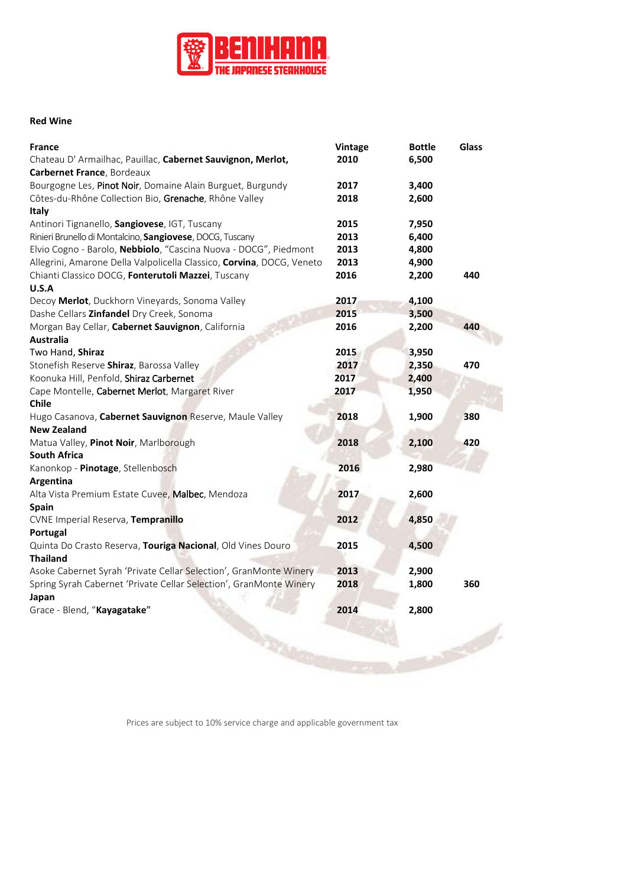

## **Red Wine**

| France                                                                        | Vintage | <b>Bottle</b> | Glass |
|-------------------------------------------------------------------------------|---------|---------------|-------|
| Chateau D' Armailhac, Pauillac, Cabernet Sauvignon, Merlot,                   | 2010    | 6,500         |       |
| Carbernet France, Bordeaux                                                    |         |               |       |
| Bourgogne Les, Pinot Noir, Domaine Alain Burguet, Burgundy                    | 2017    | 3,400         |       |
| Côtes-du-Rhône Collection Bio, Grenache, Rhône Valley                         | 2018    | 2,600         |       |
| Italy                                                                         |         |               |       |
| Antinori Tignanello, Sangiovese, IGT, Tuscany                                 | 2015    | 7,950         |       |
| Rinieri Brunello di Montalcino, Sangiovese, DOCG, Tuscany                     | 2013    | 6,400         |       |
| Elvio Cogno - Barolo, Nebbiolo, "Cascina Nuova - DOCG", Piedmont              | 2013    | 4,800         |       |
| Allegrini, Amarone Della Valpolicella Classico, <i>Corvina</i> , DOCG, Veneto | 2013    | 4,900         |       |
| Chianti Classico DOCG, Fonterutoli Mazzei, Tuscany                            | 2016    | 2,200         | 440   |
| U.S.A                                                                         |         |               |       |
| Decoy Merlot, Duckhorn Vineyards, Sonoma Valley                               | 2017    | 4,100         |       |
| Dashe Cellars Zinfandel Dry Creek, Sonoma                                     | 2015    | 3,500         |       |
| Morgan Bay Cellar, Cabernet Sauvignon, California                             | 2016    | 2,200         | 440   |
| Australia                                                                     |         |               |       |
| Two Hand, Shiraz                                                              | 2015    | 3,950         |       |
| Stonefish Reserve Shiraz, Barossa Valley                                      | 2017    | 2,350         | 470   |
| Koonuka Hill, Penfold, Shiraz Carbernet                                       | 2017    | 2,400         |       |
| Cape Montelle, Cabernet Merlot, Margaret River                                | 2017    | 1,950         |       |
| Chile                                                                         |         |               |       |
| Hugo Casanova, <b>Cabernet Sauvignon</b> Reserve, Maule Valley                | 2018    | 1,900         | 380   |
| <b>New Zealand</b>                                                            |         |               |       |
| Matua Valley, Pinot Noir, Marlborough                                         | 2018    | 2,100         | 420   |
| <b>South Africa</b>                                                           |         |               |       |
| Kanonkop - Pinotage, Stellenbosch                                             | 2016    | 2,980         |       |
| <b>Argentina</b>                                                              |         |               |       |
| Alta Vista Premium Estate Cuvee, Malbec, Mendoza                              | 2017    | 2,600         |       |
| Spain                                                                         |         |               |       |
| CVNE Imperial Reserva, Tempranillo                                            | 2012    | 4,850         |       |
| Portugal                                                                      |         |               |       |
| Quinta Do Crasto Reserva, Touriga Nacional, Old Vines Douro                   | 2015    | 4,500         |       |
| Thailand                                                                      |         |               |       |
| Asoke Cabernet Syrah 'Private Cellar Selection', GranMonte Winery             | 2013    | 2,900         |       |
| Spring Syrah Cabernet 'Private Cellar Selection', GranMonte Winery            | 2018    | 1,800         | 360   |
| Japan                                                                         |         |               |       |
| Grace - Blend, "Kayagatake"                                                   | 2014    | 2,800         |       |
|                                                                               |         |               |       |
|                                                                               |         |               |       |
|                                                                               |         |               |       |
|                                                                               |         |               |       |
|                                                                               |         |               |       |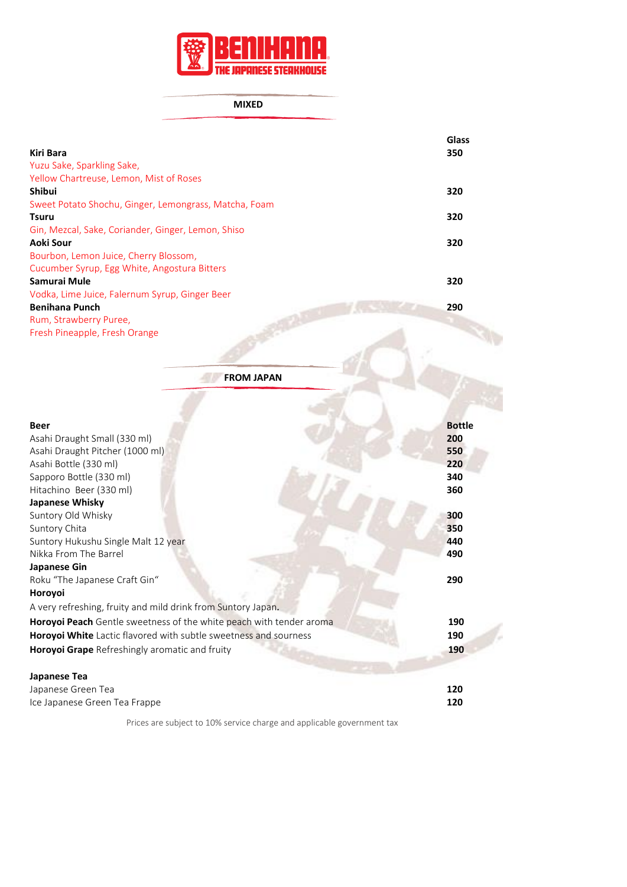

**MIXED**

|                                                       | Glass |
|-------------------------------------------------------|-------|
| <b>Kiri Bara</b>                                      | 350   |
| Yuzu Sake, Sparkling Sake,                            |       |
| Yellow Chartreuse, Lemon, Mist of Roses               |       |
| Shibui                                                | 320   |
| Sweet Potato Shochu, Ginger, Lemongrass, Matcha, Foam |       |
| <b>Tsuru</b>                                          | 320   |
| Gin, Mezcal, Sake, Coriander, Ginger, Lemon, Shiso    |       |
| Aoki Sour                                             | 320   |
| Bourbon, Lemon Juice, Cherry Blossom,                 |       |
| Cucumber Syrup, Egg White, Angostura Bitters          |       |
| Samurai Mule                                          | 320   |
| Vodka, Lime Juice, Falernum Syrup, Ginger Beer        |       |
| <b>Benihana Punch</b>                                 | 290   |
| Rum, Strawberry Puree,                                |       |
| Fresh Pineapple, Fresh Orange                         |       |

**FROM JAPAN Beer Bottle** Asahi Draught Small (330 ml) **200** Asahi Draught Pitcher (1000 ml) **550** Asahi Bottle (330 ml) **220** Sapporo Bottle (330 ml) **340**<br>Hitachino Beer (330 ml) **360** Hitachino Beer (330 ml) **Japanese Whisky** Suntory Old Whisky **300**<br>Suntory Chita **350 Suntory Chita** Suntory Hukushu Single Malt 12 year **440**<br>Nikka From The Barrel **490 Nikka From The Barrel Japanese Gin** Roku "The Japanese Craft Gin" **290 Horoyoi**  A very refreshing, fruity and mild drink from Suntory Japan*.*  **Horoyoi Peach** Gentle sweetness of the white peach with tender aroma **190 Horoyoi White** Lactic flavored with subtle sweetness and sourness **190 Horoyoi Grape** Refreshingly aromatic and fruity **190 Japanese Tea** Japanese Green Tea **120** Ice Japanese Green Tea Frappe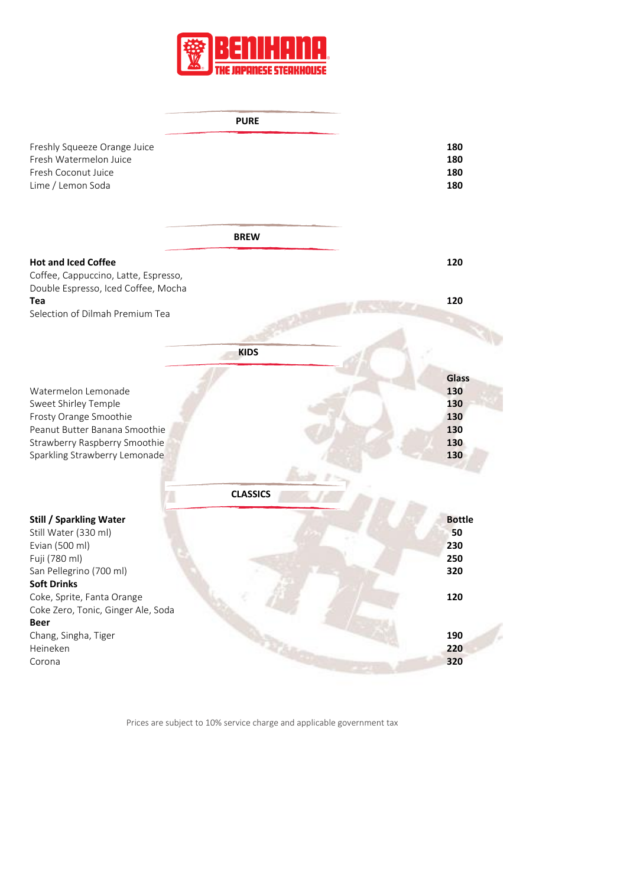